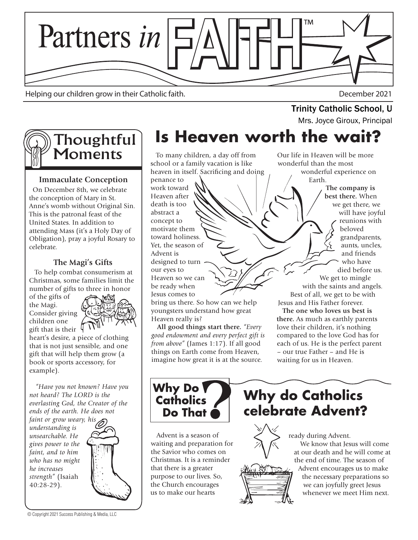

Helping our children grow in their Catholic faith. December 2021

# Trinity Catholic School, U<br>Mrs. Joyce Giroux, Principal



#### **Immaculate Conception**

 On December 8th, we celebrate the conception of Mary in St. Anne's womb without Original Sin. This is the patronal feast of the United States. In addition to attending Mass (it's a Holy Day of Obligation), pray a joyful Rosary to celebrate.

#### **The Magi's Gifts**

 To help combat consumerism at Christmas, some families limit the number of gifts to three in honor

of the gifts of the Magi. Consider giving children one gift that is their



heart's desire, a piece of clothing that is not just sensible, and one gift that will help them grow (a book or sports accessory, for example).

 *"Have you not known? Have you not heard? The LORD is the everlasting God, the Creator of the ends of the earth. He does not* 

*faint or grow weary, his understanding is unsearchable. He gives power to the faint, and to him who has no might he increases strength"* (Isaiah 40:28-29).



## **Is Heaven worth the wait?**

 To many children, a day off from school or a family vacation is like heaven in itself. Sacrificing and doing

penance to work toward Heaven after death is too abstract a concept to motivate them toward holiness. Yet, the season of Advent is designed to turn our eyes to Heaven so we can be ready when Jesus comes to

bring us there. So how can we help youngsters understand how great Heaven really is?

 **All good things start there.** *"Every good endowment and every perfect gift is from above"* (James 1:17). If all good things on Earth come from Heaven, imagine how great it is at the source.

Our life in Heaven will be more wonderful than the most wonderful experience on Earth.

> **The company is best there.** When we get there, we will have joyful reunions with beloved grandparents, aunts, uncles, and friends who have died before us. We get to mingle with the saints and angels. Best of all, we get to be with

Jesus and His Father forever.  **The one who loves us best is** 

**there.** As much as earthly parents love their children, it's nothing compared to the love God has for each of us. He is the perfect parent – our true Father – and He is waiting for us in Heaven.



 Advent is a season of waiting and preparation for the Savior who comes on Christmas. It is a reminder that there is a greater purpose to our lives. So, the Church encourages us to make our hearts

### **Why do Catholics celebrate Advent?**



ready during Advent. We know that Jesus will come at our death and he will come at the end of time. The season of Advent encourages us to make the necessary preparations so we can joyfully greet Jesus whenever we meet Him next.

© Copyright 2021 Success Publishing & Media, LLC